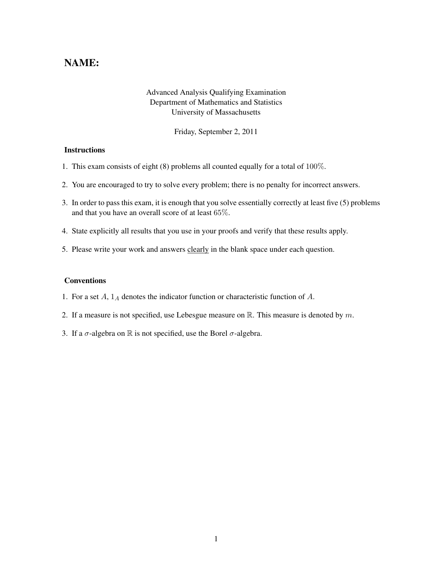## NAME:

## Advanced Analysis Qualifying Examination Department of Mathematics and Statistics University of Massachusetts

Friday, September 2, 2011

## **Instructions**

- 1. This exam consists of eight (8) problems all counted equally for a total of 100%.
- 2. You are encouraged to try to solve every problem; there is no penalty for incorrect answers.
- 3. In order to pass this exam, it is enough that you solve essentially correctly at least five (5) problems and that you have an overall score of at least 65%.
- 4. State explicitly all results that you use in your proofs and verify that these results apply.
- 5. Please write your work and answers clearly in the blank space under each question.

## Conventions

- 1. For a set  $A$ ,  $1_A$  denotes the indicator function or characteristic function of  $A$ .
- 2. If a measure is not specified, use Lebesgue measure on  $\mathbb R$ . This measure is denoted by m.
- 3. If a  $\sigma$ -algebra on  $\mathbb R$  is not specified, use the Borel  $\sigma$ -algebra.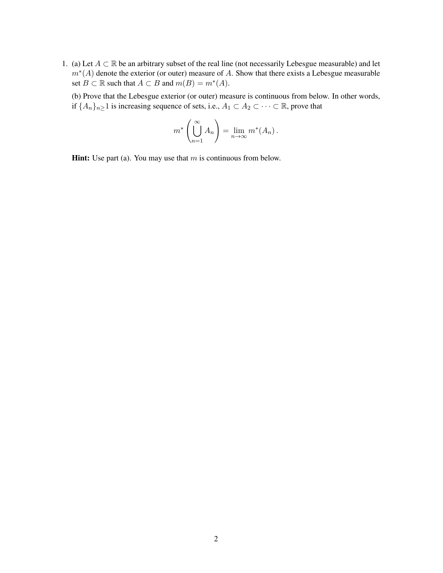- 1. (a) Let  $A \subset \mathbb{R}$  be an arbitrary subset of the real line (not necessarily Lebesgue measurable) and let  $m<sup>*</sup>(A)$  denote the exterior (or outer) measure of A. Show that there exists a Lebesgue measurable set  $B \subset \mathbb{R}$  such that  $A \subset B$  and  $m(B) = m^*(A)$ .
	- (b) Prove that the Lebesgue exterior (or outer) measure is continuous from below. In other words, if  $\{A_n\}_{n\geq 1}$  is increasing sequence of sets, i.e.,  $A_1 \subset A_2 \subset \cdots \subset \mathbb{R}$ , prove that

$$
m^* \left( \bigcup_{n=1}^{\infty} A_n \right) = \lim_{n \to \infty} m^* (A_n) .
$$

**Hint:** Use part (a). You may use that  $m$  is continuous from below.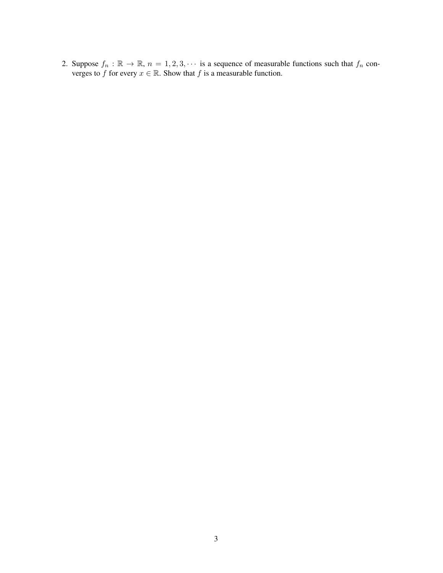2. Suppose  $f_n : \mathbb{R} \to \mathbb{R}$ ,  $n = 1, 2, 3, \cdots$  is a sequence of measurable functions such that  $f_n$  converges to f for every  $x \in \mathbb{R}$ . Show that f is a measurable function.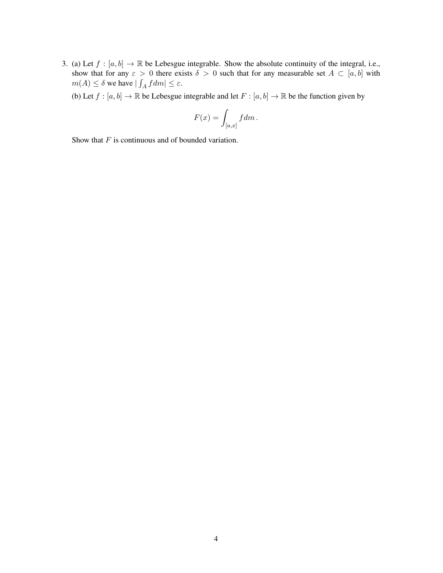3. (a) Let  $f : [a, b] \to \mathbb{R}$  be Lebesgue integrable. Show the absolute continuity of the integral, i.e., show that for any  $\varepsilon > 0$  there exists  $\delta > 0$  such that for any measurable set  $A \subset [a, b]$  with  $m(A) \leq \delta$  we have  $|\int_A f dm| \leq \varepsilon$ .

(b) Let  $f : [a, b] \to \mathbb{R}$  be Lebesgue integrable and let  $F : [a, b] \to \mathbb{R}$  be the function given by

$$
F(x) = \int_{[a,x]} f dm.
$$

Show that  $F$  is continuous and of bounded variation.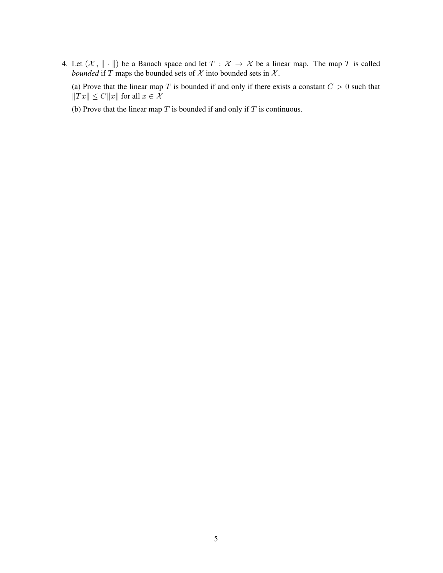4. Let  $(X, \| \cdot \|)$  be a Banach space and let  $T : X \to X$  be a linear map. The map T is called *bounded* if T maps the bounded sets of  $X$  into bounded sets in  $X$ .

(a) Prove that the linear map T is bounded if and only if there exists a constant  $C > 0$  such that  $\|Tx\| \leq C\|x\|$  for all  $x \in \mathcal{X}$ 

(b) Prove that the linear map  $T$  is bounded if and only if  $T$  is continuous.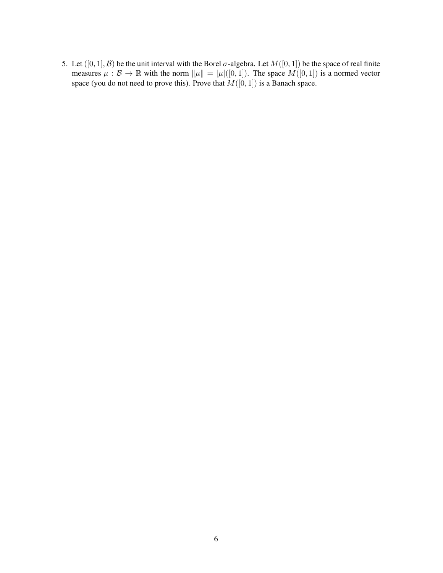5. Let  $([0, 1], \mathcal{B})$  be the unit interval with the Borel  $\sigma$ -algebra. Let  $M([0, 1])$  be the space of real finite measures  $\mu : \mathcal{B} \to \mathbb{R}$  with the norm  $\|\mu\| = |\mu|([0, 1])$ . The space  $M([0, 1])$  is a normed vector space (you do not need to prove this). Prove that  $M([0, 1])$  is a Banach space.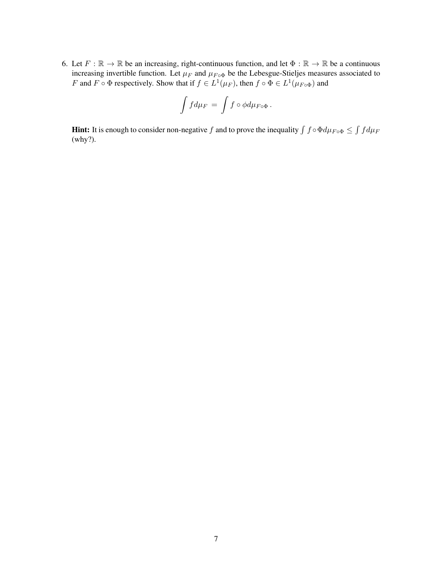6. Let  $F : \mathbb{R} \to \mathbb{R}$  be an increasing, right-continuous function, and let  $\Phi : \mathbb{R} \to \mathbb{R}$  be a continuous increasing invertible function. Let  $\mu_F$  and  $\mu_{F \circ \Phi}$  be the Lebesgue-Stieljes measures associated to F and  $F \circ \Phi$  respectively. Show that if  $f \in L^1(\mu_F)$ , then  $f \circ \Phi \in L^1(\mu_{F \circ \Phi})$  and

$$
\int f d\mu_F = \int f \circ \phi d\mu_{F \circ \Phi}.
$$

**Hint:** It is enough to consider non-negative f and to prove the inequality  $\int f \circ \Phi d\mu_{F \circ \Phi} \leq \int f d\mu_F$ (why?).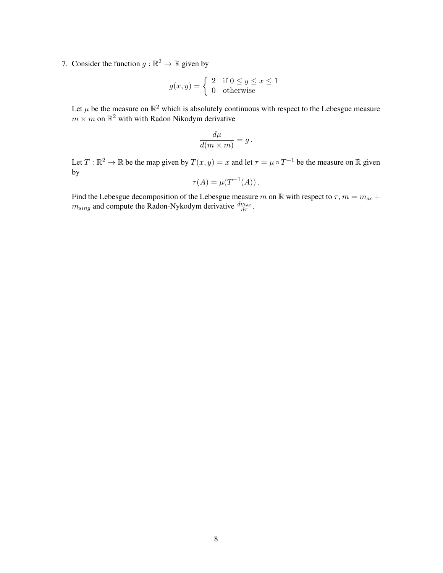7. Consider the function  $g : \mathbb{R}^2 \to \mathbb{R}$  given by

$$
g(x, y) = \begin{cases} 2 & \text{if } 0 \le y \le x \le 1 \\ 0 & \text{otherwise} \end{cases}
$$

Let  $\mu$  be the measure on  $\mathbb{R}^2$  which is absolutely continuous with respect to the Lebesgue measure  $m \times m$  on  $\mathbb{R}^2$  with with Radon Nikodym derivative

$$
\frac{d\mu}{d(m \times m)} = g.
$$

Let  $T : \mathbb{R}^2 \to \mathbb{R}$  be the map given by  $T(x, y) = x$  and let  $\tau = \mu \circ T^{-1}$  be the measure on  $\mathbb R$  given by

$$
\tau(A) = \mu(T^{-1}(A)).
$$

Find the Lebesgue decomposition of the Lebesgue measure m on R with respect to  $\tau$ ,  $m = m_{ac} +$  $m_{sing}$  and compute the Radon-Nykodym derivative  $\frac{dm_{ac}}{d\tau}$ .